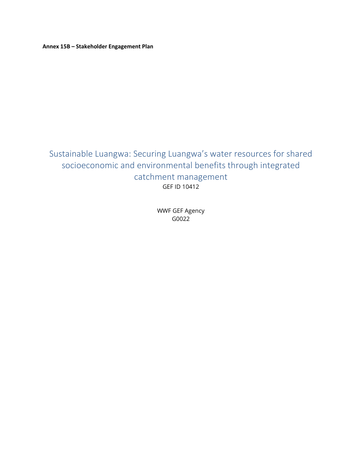**Annex 15B – Stakeholder Engagement Plan**

# Sustainable Luangwa: Securing Luangwa's water resources for shared socioeconomic and environmental benefits through integrated catchment management GEF ID 10412

WWF GEF Agency G0022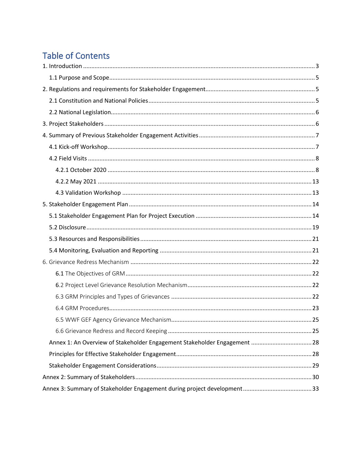# **Table of Contents**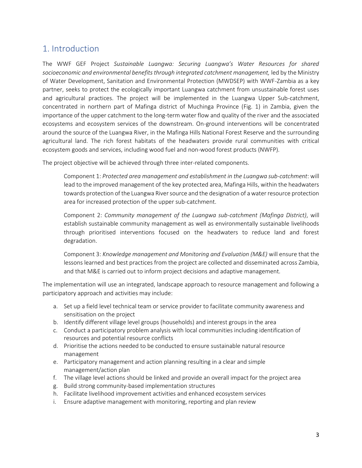## <span id="page-2-0"></span>1. Introduction

The WWF GEF Project *Sustainable Luangwa: Securing Luangwa's Water Resources for shared socioeconomic and environmental benefits through integrated catchment management,* led by the Ministry of Water Development, Sanitation and Environmental Protection (MWDSEP) with WWF-Zambia as a key partner, seeks to protect the ecologically important Luangwa catchment from unsustainable forest uses and agricultural practices. The project will be implemented in the Luangwa Upper Sub-catchment, concentrated in northern part of Mafinga district of Muchinga Province (Fig. 1) in Zambia, given the importance of the upper catchment to the long-term water flow and quality of the river and the associated ecosystems and ecosystem services of the downstream. On-ground interventions will be concentrated around the source of the Luangwa River, in the Mafinga Hills National Forest Reserve and the surrounding agricultural land. The rich forest habitats of the headwaters provide rural communities with critical ecosystem goods and services, including wood fuel and non-wood forest products (NWFP).

The project objective will be achieved through three inter-related components.

Component 1: *Protected area management and establishment in the Luangwa sub-catchment*: will lead to the improved management of the key protected area, Mafinga Hills, within the headwaters towards protection of the Luangwa River source and the designation of a water resource protection area for increased protection of the upper sub-catchment.

Component 2: *Community management of the Luangwa sub-catchment (Mafinga District)*, will establish sustainable community management as well as environmentally sustainable livelihoods through prioritised interventions focused on the headwaters to reduce land and forest degradation.

Component 3: *Knowledge management and Monitoring and Evaluation (M&E)* will ensure that the lessons learned and best practices from the project are collected and disseminated across Zambia, and that M&E is carried out to inform project decisions and adaptive management.

The implementation will use an integrated, landscape approach to resource management and following a participatory approach and activities may include:

- a. Set up a field level technical team or service provider to facilitate community awareness and sensitisation on the project
- b. Identify different village level groups (households) and interest groups in the area
- c. Conduct a participatory problem analysis with local communities including identification of resources and potential resource conflicts
- d. Prioritise the actions needed to be conducted to ensure sustainable natural resource management
- e. Participatory management and action planning resulting in a clear and simple management/action plan
- f. The village level actions should be linked and provide an overall impact for the project area
- g. Build strong community-based implementation structures
- h. Facilitate livelihood improvement activities and enhanced ecosystem services
- i. Ensure adaptive management with monitoring, reporting and plan review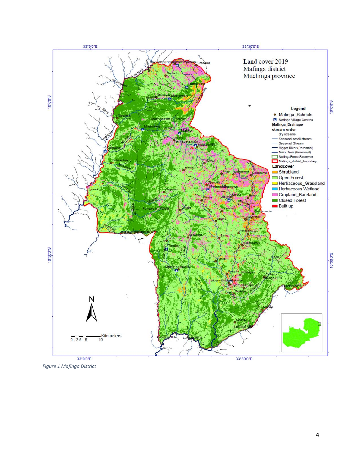

*Figure 1 Mafinga District*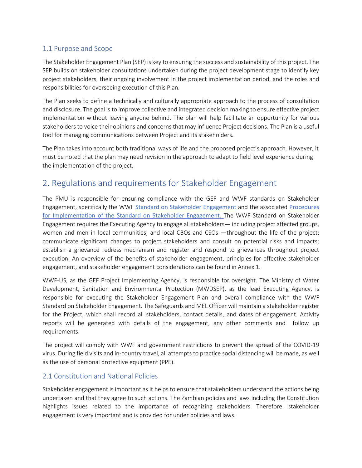## <span id="page-4-0"></span>1.1 Purpose and Scope

The Stakeholder Engagement Plan (SEP) is key to ensuring the success and sustainability of this project. The SEP builds on stakeholder consultations undertaken during the project development stage to identify key project stakeholders, their ongoing involvement in the project implementation period, and the roles and responsibilities for overseeing execution of this Plan.

The Plan seeks to define a technically and culturally appropriate approach to the process of consultation and disclosure. The goal is to improve collective and integrated decision making to ensure effective project implementation without leaving anyone behind. The plan will help facilitate an opportunity for various stakeholders to voice their opinions and concerns that may influence Project decisions. The Plan is a useful tool for managing communications between Project and its stakeholders.

The Plan takes into account both traditional ways of life and the proposed project's approach. However, it must be noted that the plan may need revision in the approach to adapt to field level experience during the implementation of the project.

## <span id="page-4-1"></span>2. Regulations and requirements for Stakeholder Engagement

The PMU is responsible for ensuring compliance with the GEF and WWF standards on Stakeholder Engagement, specifically the WWF [Standard on Stakeholder Engagement](https://wwfgeftracks.com/sites/default/files/2019-02/Standard%20on%20Stakeholder%20Engagement.pdf) and the associated Procedures [for Implementation of the Standard on Stakeholder Engagement](https://wwfgeftracks.com/sites/default/files/2019-02/Procedures%20for%20Implementation%20of%20Standard%20on%20Stakeholder%20Engagement.pdf). The WWF Standard on Stakeholder Engagement requires the Executing Agency to engage all stakeholders— including project affected groups, women and men in local communities, and local CBOs and CSOs —throughout the life of the project; communicate significant changes to project stakeholders and consult on potential risks and impacts; establish a grievance redress mechanism and register and respond to grievances throughout project execution. An overview of the benefits of stakeholder engagement, principles for effective stakeholder engagement, and stakeholder engagement considerations can be found in Annex 1.

WWF-US, as the GEF Project Implementing Agency, is responsible for oversight. The Ministry of Water Development, Sanitation and Environmental Protection (MWDSEP), as the lead Executing Agency, is responsible for executing the Stakeholder Engagement Plan and overall compliance with the WWF Standard on Stakeholder Engagement. The Safeguards and MEL Officer will maintain a stakeholder register for the Project, which shall record all stakeholders, contact details, and dates of engagement. Activity reports will be generated with details of the engagement, any other comments and follow up requirements.

The project will comply with WWF and government restrictions to prevent the spread of the COVID-19 virus. During field visits and in-country travel, all attempts to practice social distancing will be made, as well as the use of personal protective equipment (PPE).

## <span id="page-4-2"></span>2.1 Constitution and National Policies

Stakeholder engagement is important as it helps to ensure that stakeholders understand the actions being undertaken and that they agree to such actions. The Zambian policies and laws including the Constitution highlights issues related to the importance of recognizing stakeholders. Therefore, stakeholder engagement is very important and is provided for under policies and laws.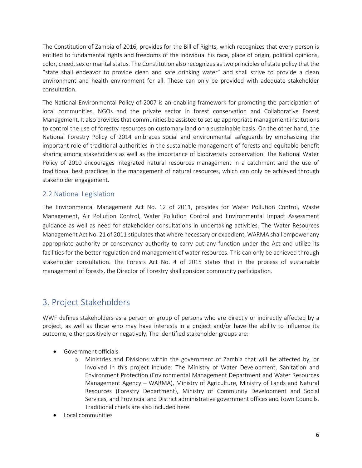The Constitution of Zambia of 2016, provides for the Bill of Rights, which recognizes that every person is entitled to fundamental rights and freedoms of the individual his race, place of origin, political opinions, color, creed, sex or marital status. The Constitution also recognizes as two principles of state policy that the "state shall endeavor to provide clean and safe drinking water" and shall strive to provide a clean environment and health environment for all. These can only be provided with adequate stakeholder consultation.

The National Environmental Policy of 2007 is an enabling framework for promoting the participation of local communities, NGOs and the private sector in forest conservation and Collaborative Forest Management. It also provides that communities be assisted to set up appropriate management institutions to control the use of forestry resources on customary land on a sustainable basis. On the other hand, the National Forestry Policy of 2014 embraces social and environmental safeguards by emphasizing the important role of traditional authorities in the sustainable management of forests and equitable benefit sharing among stakeholders as well as the importance of biodiversity conservation. The National Water Policy of 2010 encourages integrated natural resources management in a catchment and the use of traditional best practices in the management of natural resources, which can only be achieved through stakeholder engagement.

## <span id="page-5-0"></span>2.2 National Legislation

The Environmental Management Act No. 12 of 2011, provides for Water Pollution Control, Waste Management, Air Pollution Control, Water Pollution Control and Environmental Impact Assessment guidance as well as need for stakeholder consultations in undertaking activities. The Water Resources Management Act No. 21 of 2011 stipulates that where necessary or expedient, WARMA shall empower any appropriate authority or conservancy authority to carry out any function under the Act and utilize its facilities for the better regulation and management of water resources. This can only be achieved through stakeholder consultation. The Forests Act No. 4 of 2015 states that in the process of sustainable management of forests, the Director of Forestry shall consider community participation.

## <span id="page-5-1"></span>3. Project Stakeholders

WWF defines stakeholders as a person or group of persons who are directly or indirectly affected by a project, as well as those who may have interests in a project and/or have the ability to influence its outcome, either positively or negatively. The identified stakeholder groups are:

- Government officials
	- o Ministries and Divisions within the government of Zambia that will be affected by, or involved in this project include: The Ministry of Water Development, Sanitation and Environment Protection (Environmental Management Department and Water Resources Management Agency – WARMA), Ministry of Agriculture, Ministry of Lands and Natural Resources (Forestry Department), Ministry of Community Development and Social Services, and Provincial and District administrative government offices and Town Councils. Traditional chiefs are also included here.
- Local communities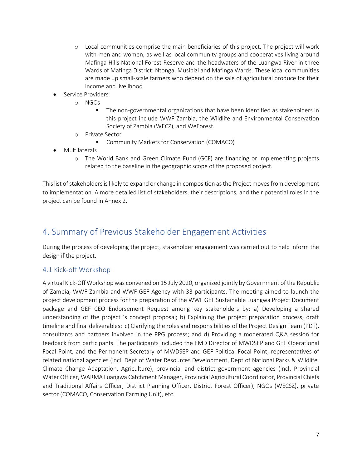- o Local communities comprise the main beneficiaries of this project. The project will work with men and women, as well as local community groups and cooperatives living around Mafinga Hills National Forest Reserve and the headwaters of the Luangwa River in three Wards of Mafinga District: Ntonga, Musipizi and Mafinga Wards. These local communities are made up small-scale farmers who depend on the sale of agricultural produce for their income and livelihood.
- Service Providers
	- o NGOs
		- **•** The non-governmental organizations that have been identified as stakeholders in this project include WWF Zambia, the Wildlife and Environmental Conservation Society of Zambia (WECZ), and WeForest.
	- o Private Sector
		- Community Markets for Conservation (COMACO)
- **Multilaterals** 
	- o The World Bank and Green Climate Fund (GCF) are financing or implementing projects related to the baseline in the geographic scope of the proposed project.

This list of stakeholders is likely to expand or change in composition as the Project moves from development to implementation. A more detailed list of stakeholders, their descriptions, and their potential roles in the project can be found in Annex 2.

# <span id="page-6-0"></span>4. Summary of Previous Stakeholder Engagement Activities

During the process of developing the project, stakeholder engagement was carried out to help inform the design if the project.

## <span id="page-6-1"></span>4.1 Kick-off Workshop

A virtual Kick-Off Workshop was convened on 15 July 2020, organized jointly by Government of the Republic of Zambia, WWF Zambia and WWF GEF Agency with 33 participants. The meeting aimed to launch the project development process for the preparation of the WWF GEF Sustainable Luangwa Project Document package and GEF CEO Endorsement Request among key stakeholders by: a) Developing a shared understanding of the project 's concept proposal; b) Explaining the project preparation process, draft timeline and final deliverables; c) Clarifying the roles and responsibilities of the Project Design Team (PDT), consultants and partners involved in the PPG process; and d) Providing a moderated Q&A session for feedback from participants. The participants included the EMD Director of MWDSEP and GEF Operational Focal Point, and the Permanent Secretary of MWDSEP and GEF Political Focal Point, representatives of related national agencies (incl. Dept of Water Resources Development, Dept of National Parks & Wildlife, Climate Change Adaptation, Agriculture), provincial and district government agencies (incl. Provincial Water Officer, WARMA Luangwa Catchment Manager, Provincial Agricultural Coordinator, Provincial Chiefs and Traditional Affairs Officer, District Planning Officer, District Forest Officer), NGOs (WECSZ), private sector (COMACO, Conservation Farming Unit), etc.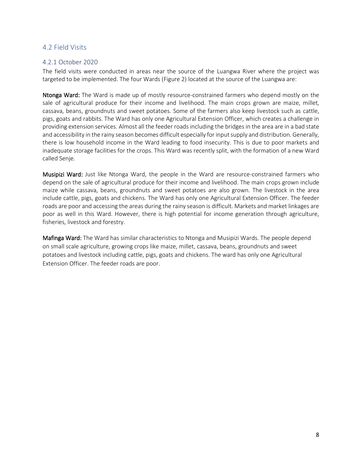## <span id="page-7-0"></span>4.2 Field Visits

#### <span id="page-7-1"></span>4.2.1 October 2020

The field visits were conducted in areas near the source of the Luangwa River where the project was targeted to be implemented. The four Wards (Figure 2) located at the source of the Luangwa are:

Ntonga Ward: The Ward is made up of mostly resource-constrained farmers who depend mostly on the sale of agricultural produce for their income and livelihood. The main crops grown are maize, millet, cassava, beans, groundnuts and sweet potatoes. Some of the farmers also keep livestock such as cattle, pigs, goats and rabbits. The Ward has only one Agricultural Extension Officer, which creates a challenge in providing extension services. Almost all the feeder roads including the bridges in the area are in a bad state and accessibility in the rainy season becomes difficult especially for input supply and distribution. Generally, there is low household income in the Ward leading to food insecurity. This is due to poor markets and inadequate storage facilities for the crops. This Ward was recently split, with the formation of a new Ward called Senje.

Musipizi Ward: Just like Ntonga Ward, the people in the Ward are resource-constrained farmers who depend on the sale of agricultural produce for their income and livelihood. The main crops grown include maize while cassava, beans, groundnuts and sweet potatoes are also grown. The livestock in the area include cattle, pigs, goats and chickens. The Ward has only one Agricultural Extension Officer. The feeder roads are poor and accessing the areas during the rainy season is difficult. Markets and market linkages are poor as well in this Ward. However, there is high potential for income generation through agriculture, fisheries, livestock and forestry.

Mafinga Ward: The Ward has similar characteristics to Ntonga and Musipizi Wards. The people depend on small scale agriculture, growing crops like maize, millet, cassava, beans, groundnuts and sweet potatoes and livestock including cattle, pigs, goats and chickens. The ward has only one Agricultural Extension Officer. The feeder roads are poor.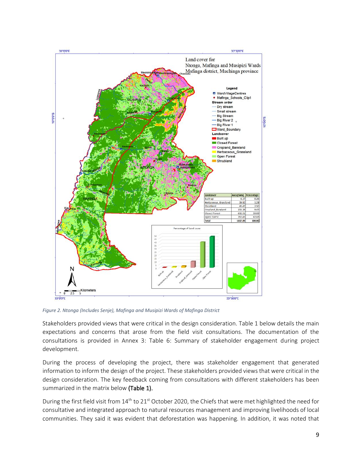

*Figure 2. Ntonga (Includes Senje), Mafinga and Musipizi Wards of Mafinga District*

Stakeholders provided views that were critical in the design consideration. Table 1 below details the main expectations and concerns that arose from the field visit consultations. The documentation of the consultations is provided in Annex 3: Table 6: Summary of stakeholder engagement during project development.

During the process of developing the project, there was stakeholder engagement that generated information to inform the design of the project. These stakeholders provided views that were critical in the design consideration. The key feedback coming from consultations with different stakeholders has been summarized in the matrix below (Table 1).

During the first field visit from  $14<sup>th</sup>$  to 21<sup>st</sup> October 2020, the Chiefs that were met highlighted the need for consultative and integrated approach to natural resources management and improving livelihoods of local communities. They said it was evident that deforestation was happening. In addition, it was noted that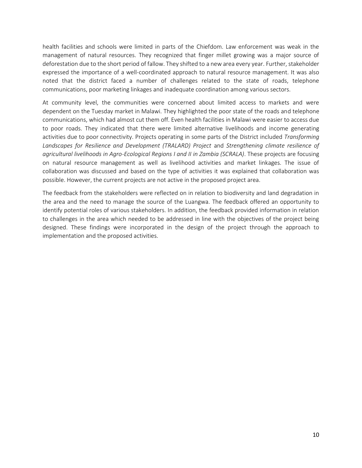health facilities and schools were limited in parts of the Chiefdom. Law enforcement was weak in the management of natural resources. They recognized that finger millet growing was a major source of deforestation due to the short period of fallow. They shifted to a new area every year. Further, stakeholder expressed the importance of a well-coordinated approach to natural resource management. It was also noted that the district faced a number of challenges related to the state of roads, telephone communications, poor marketing linkages and inadequate coordination among various sectors.

At community level, the communities were concerned about limited access to markets and were dependent on the Tuesday market in Malawi. They highlighted the poor state of the roads and telephone communications, which had almost cut them off. Even health facilities in Malawi were easier to access due to poor roads. They indicated that there were limited alternative livelihoods and income generating activities due to poor connectivity. Projects operating in some parts of the District included *Transforming Landscapes for Resilience and Development (TRALARD) Project* and *Strengthening climate resilience of agricultural livelihoods in Agro-Ecological Regions I and II in Zambia (SCRALA)*. These projects are focusing on natural resource management as well as livelihood activities and market linkages. The issue of collaboration was discussed and based on the type of activities it was explained that collaboration was possible. However, the current projects are not active in the proposed project area.

The feedback from the stakeholders were reflected on in relation to biodiversity and land degradation in the area and the need to manage the source of the Luangwa. The feedback offered an opportunity to identify potential roles of various stakeholders. In addition, the feedback provided information in relation to challenges in the area which needed to be addressed in line with the objectives of the project being designed. These findings were incorporated in the design of the project through the approach to implementation and the proposed activities.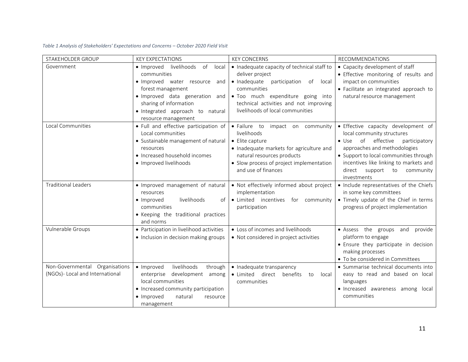| STAKEHOLDER GROUP                                                 | <b>KEY EXPECTATIONS</b>                                                                                                                                                                                                           | <b>KEY CONCERNS</b>                                                                                                                                                                                                                        | <b>RECOMMENDATIONS</b>                                                                                                                                                                                                                                                                      |
|-------------------------------------------------------------------|-----------------------------------------------------------------------------------------------------------------------------------------------------------------------------------------------------------------------------------|--------------------------------------------------------------------------------------------------------------------------------------------------------------------------------------------------------------------------------------------|---------------------------------------------------------------------------------------------------------------------------------------------------------------------------------------------------------------------------------------------------------------------------------------------|
| Government                                                        | · Improved livelihoods<br>of<br>local<br>communities<br>· Improved water resource and<br>forest management<br>· Improved data generation and<br>sharing of information<br>· Integrated approach to natural<br>resource management | • Inadequate capacity of technical staff to<br>deliver project<br>• Inadequate<br>participation of local<br>communities<br>· Too much expenditure going into<br>technical activities and not improving<br>livelihoods of local communities | • Capacity development of staff<br>• Effective monitoring of results and<br>impact on communities<br>· Facilitate an integrated approach to<br>natural resource management                                                                                                                  |
| Local Communities                                                 | • Full and effective participation of<br>Local communities<br>• Sustainable management of natural<br>resources<br>• Increased household incomes<br>· Improved livelihoods                                                         | · Failure to impact on community<br>livelihoods<br>• Elite capture<br>• Inadequate markets for agriculture and<br>natural resources products<br>• Slow process of project implementation<br>and use of finances                            | • Effective capacity development of<br>local community structures<br>of<br>effective<br>$\bullet$ Use<br>participatory<br>approaches and methodologies<br>• Support to local communities through<br>incentives like linking to markets and<br>direct support to<br>community<br>investments |
| <b>Traditional Leaders</b>                                        | · Improved management of natural<br>resources<br>livelihoods<br>• Improved<br>of<br>communities<br>• Keeping the traditional practices<br>and norms                                                                               | • Not effectively informed about project<br>implementation<br>· Limited incentives for community<br>participation                                                                                                                          | • Include representatives of the Chiefs<br>in some key committees<br>• Timely update of the Chief in terms<br>progress of project implementation                                                                                                                                            |
| Vulnerable Groups                                                 | • Participation in livelihood activities<br>• Inclusion in decision making groups                                                                                                                                                 | • Loss of incomes and livelihoods<br>• Not considered in project activities                                                                                                                                                                | · Assess the groups and provide<br>platform to engage<br>• Ensure they participate in decision<br>making processes<br>• To be considered in Committees                                                                                                                                      |
| Non-Governmental Organisations<br>(NGOs)- Local and International | livelihoods<br>• Improved<br>through<br>development among<br>enterprise<br>local communities<br>• Increased community participation<br>• Improved<br>natural<br>resource<br>management                                            | • Inadequate transparency<br>• Limited direct benefits<br>to<br>local<br>communities                                                                                                                                                       | • Summarise technical documents into<br>easy to read and based on local<br>languages<br>• Increased awareness among local<br>communities                                                                                                                                                    |

#### *Table 1 Analysis of Stakeholders' Expectations and Concerns – October 2020 Field Visit*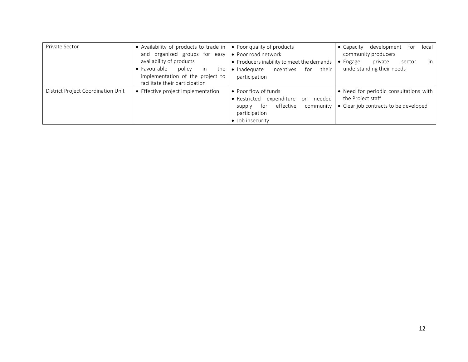| Private Sector                     | • Availability of products to trade in $\bullet$ Poor quality of products<br>and organized groups for easy<br>availability of products<br>• Favourable<br>policy<br>the<br><i>in</i><br>implementation of the project to | • Poor road network<br>• Producers inability to meet the demands<br>• Inadequate<br>incentives<br>their<br>for<br>participation                     | development<br>local<br>$\bullet$ Capacity<br>tor<br>community producers<br>in<br>$\bullet$ Engage<br>private<br>sector<br>understanding their needs |
|------------------------------------|--------------------------------------------------------------------------------------------------------------------------------------------------------------------------------------------------------------------------|-----------------------------------------------------------------------------------------------------------------------------------------------------|------------------------------------------------------------------------------------------------------------------------------------------------------|
|                                    | facilitate their participation                                                                                                                                                                                           |                                                                                                                                                     |                                                                                                                                                      |
| District Project Coordination Unit | • Effective project implementation                                                                                                                                                                                       | • Poor flow of funds<br>expenditure<br>needed<br>• Restricted<br>on<br>effective<br>community<br>for<br>supply<br>participation<br>· Job insecurity | • Need for periodic consultations with<br>the Project staff<br>• Clear job contracts to be developed                                                 |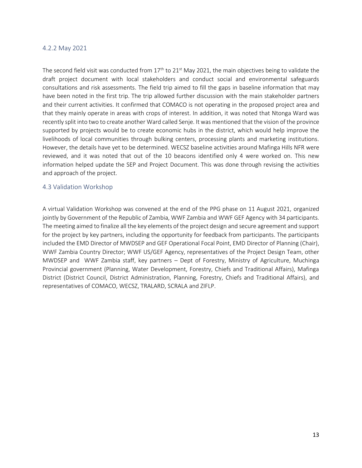#### <span id="page-12-0"></span>4.2.2 May 2021

The second field visit was conducted from 17<sup>th</sup> to 21<sup>st</sup> May 2021, the main objectives being to validate the draft project document with local stakeholders and conduct social and environmental safeguards consultations and risk assessments. The field trip aimed to fill the gaps in baseline information that may have been noted in the first trip. The trip allowed further discussion with the main stakeholder partners and their current activities. It confirmed that COMACO is not operating in the proposed project area and that they mainly operate in areas with crops of interest. In addition, it was noted that Ntonga Ward was recently split into two to create another Ward called Senje. It was mentioned that the vision of the province supported by projects would be to create economic hubs in the district, which would help improve the livelihoods of local communities through bulking centers, processing plants and marketing institutions. However, the details have yet to be determined. WECSZ baseline activities around Mafinga Hills NFR were reviewed, and it was noted that out of the 10 beacons identified only 4 were worked on. This new information helped update the SEP and Project Document. This was done through revising the activities and approach of the project.

#### <span id="page-12-1"></span>4.3 Validation Workshop

A virtual Validation Workshop was convened at the end of the PPG phase on 11 August 2021, organized jointly by Government of the Republic of Zambia, WWF Zambia and WWF GEF Agency with 34 participants. The meeting aimed to finalize all the key elements of the project design and secure agreement and support for the project by key partners, including the opportunity for feedback from participants. The participants included the EMD Director of MWDSEP and GEF Operational Focal Point, EMD Director of Planning (Chair), WWF Zambia Country Director; WWF US/GEF Agency, representatives of the Project Design Team, other MWDSEP and WWF Zambia staff, key partners – Dept of Forestry, Ministry of Agriculture, Muchinga Provincial government (Planning, Water Development, Forestry, Chiefs and Traditional Affairs), Mafinga District (District Council, District Administration, Planning, Forestry, Chiefs and Traditional Affairs), and representatives of COMACO, WECSZ, TRALARD, SCRALA and ZIFLP.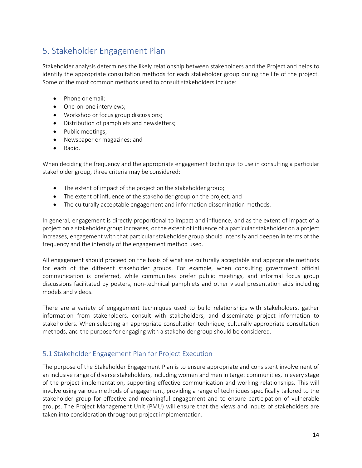# <span id="page-13-0"></span>5. Stakeholder Engagement Plan

Stakeholder analysis determines the likely relationship between stakeholders and the Project and helps to identify the appropriate consultation methods for each stakeholder group during the life of the project. Some of the most common methods used to consult stakeholders include:

- Phone or email;
- One-on-one interviews;
- Workshop or focus group discussions;
- Distribution of pamphlets and newsletters;
- Public meetings;
- Newspaper or magazines; and
- Radio.

When deciding the frequency and the appropriate engagement technique to use in consulting a particular stakeholder group, three criteria may be considered:

- The extent of impact of the project on the stakeholder group;
- The extent of influence of the stakeholder group on the project; and
- The culturally acceptable engagement and information dissemination methods.

In general, engagement is directly proportional to impact and influence, and as the extent of impact of a project on a stakeholder group increases, or the extent of influence of a particular stakeholder on a project increases, engagement with that particular stakeholder group should intensify and deepen in terms of the frequency and the intensity of the engagement method used.

All engagement should proceed on the basis of what are culturally acceptable and appropriate methods for each of the different stakeholder groups. For example, when consulting government official communication is preferred, while communities prefer public meetings, and informal focus group discussions facilitated by posters, non-technical pamphlets and other visual presentation aids including models and videos.

There are a variety of engagement techniques used to build relationships with stakeholders, gather information from stakeholders, consult with stakeholders, and disseminate project information to stakeholders. When selecting an appropriate consultation technique, culturally appropriate consultation methods, and the purpose for engaging with a stakeholder group should be considered.

## <span id="page-13-1"></span>5.1 Stakeholder Engagement Plan for Project Execution

The purpose of the Stakeholder Engagement Plan is to ensure appropriate and consistent involvement of an inclusive range of diverse stakeholders, including women and men in target communities, in every stage of the project implementation, supporting effective communication and working relationships. This will involve using various methods of engagement, providing a range of techniques specifically tailored to the stakeholder group for effective and meaningful engagement and to ensure participation of vulnerable groups. The Project Management Unit (PMU) will ensure that the views and inputs of stakeholders are taken into consideration throughout project implementation.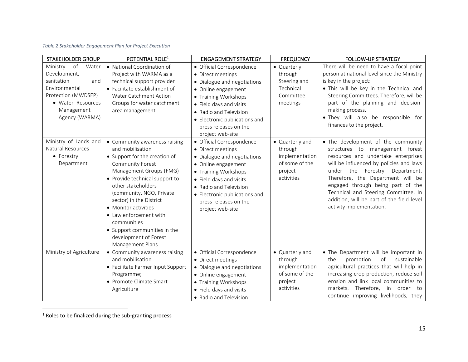#### *Table 2 Stakeholder Engagement Plan for Project Execution*

| <b>STAKEHOLDER GROUP</b>                                                                                                                               | POTENTIAL ROLE <sup>1</sup>                                                                                                                                                                                                                                                                                                                                                                    | <b>ENGAGEMENT STRATEGY</b>                                                                                                                                                                                                                                      | <b>FREQUENCY</b>                                                                        | <b>FOLLOW-UP STRATEGY</b>                                                                                                                                                                                                                                                                                                                                                            |
|--------------------------------------------------------------------------------------------------------------------------------------------------------|------------------------------------------------------------------------------------------------------------------------------------------------------------------------------------------------------------------------------------------------------------------------------------------------------------------------------------------------------------------------------------------------|-----------------------------------------------------------------------------------------------------------------------------------------------------------------------------------------------------------------------------------------------------------------|-----------------------------------------------------------------------------------------|--------------------------------------------------------------------------------------------------------------------------------------------------------------------------------------------------------------------------------------------------------------------------------------------------------------------------------------------------------------------------------------|
| Ministry of<br>Water<br>Development,<br>sanitation<br>and<br>Environmental<br>Protection (MWDSEP)<br>• Water Resources<br>Management<br>Agency (WARMA) | • National Coordination of<br>Project with WARMA as a<br>technical support provider<br>• Facilitate establishment of<br>Water Catchment Action<br>Groups for water catchment<br>area management                                                                                                                                                                                                | · Official Correspondence<br>• Direct meetings<br>· Dialogue and negotiations<br>• Online engagement<br>• Training Workshops<br>• Field days and visits<br>• Radio and Television<br>• Electronic publications and<br>press releases on the<br>project web-site | • Quarterly<br>through<br>Steering and<br>Technical<br>Committee<br>meetings            | There will be need to have a focal point<br>person at national level since the Ministry<br>is key in the project:<br>. This will be key in the Technical and<br>Steering Committees. Therefore, will be<br>part of the planning and decision-<br>making process.<br>. They will also be responsible for<br>finances to the project.                                                  |
| Ministry of Lands and<br>Natural Resources<br>• Forestry<br>Department                                                                                 | • Community awareness raising<br>and mobilisation<br>• Support for the creation of<br>Community Forest<br>Management Groups (FMG)<br>• Provide technical support to<br>other stakeholders<br>(community, NGO, Private<br>sector) in the District<br>• Monitor activities<br>• Law enforcement with<br>communities<br>• Support communities in the<br>development of Forest<br>Management Plans | · Official Correspondence<br>• Direct meetings<br>· Dialogue and negotiations<br>• Online engagement<br>• Training Workshops<br>• Field days and visits<br>• Radio and Television<br>• Electronic publications and<br>press releases on the<br>project web-site | • Quarterly and<br>through<br>implementation<br>of some of the<br>project<br>activities | • The development of the community<br>structures to management forest<br>resources and undertake enterprises<br>will be influenced by policies and laws<br>under the Forestry Department.<br>Therefore, the Department will be<br>engaged through being part of the<br>Technical and Steering Committee. In<br>addition, will be part of the field level<br>activity implementation. |
| Ministry of Agriculture                                                                                                                                | • Community awareness raising<br>and mobilisation<br>• Facilitate Farmer Input Support<br>Programme;<br>• Promote Climate Smart<br>Agriculture                                                                                                                                                                                                                                                 | · Official Correspondence<br>• Direct meetings<br>· Dialogue and negotiations<br>• Online engagement<br>• Training Workshops<br>• Field days and visits<br>• Radio and Television                                                                               | • Quarterly and<br>through<br>implementation<br>of some of the<br>project<br>activities | • The Department will be important in<br>of<br>sustainable<br>the<br>promotion<br>agricultural practices that will help in<br>increasing crop production, reduce soil<br>erosion and link local communities to<br>Therefore, in order to<br>markets.<br>continue improving livelihoods, they                                                                                         |

 $^{\rm 1}$  Roles to be finalized during the sub-granting process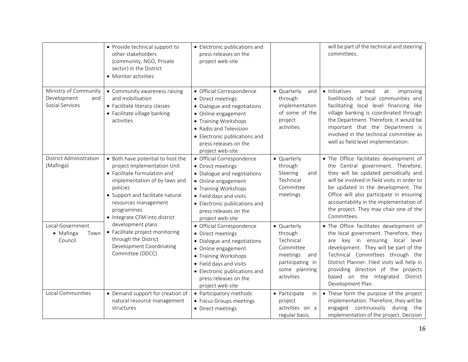|                                                                | • Provide technical support to<br>other stakeholders<br>(community, NGO, Private<br>sector) in the District<br>• Monitor activities                                                                                                                      | • Electronic publications and<br>press releases on the<br>project web-site                                                                                                                                                            |                                                                                                                        | will be part of the technical and steering<br>committees.                                                                                                                                                                                                                                                                                                    |
|----------------------------------------------------------------|----------------------------------------------------------------------------------------------------------------------------------------------------------------------------------------------------------------------------------------------------------|---------------------------------------------------------------------------------------------------------------------------------------------------------------------------------------------------------------------------------------|------------------------------------------------------------------------------------------------------------------------|--------------------------------------------------------------------------------------------------------------------------------------------------------------------------------------------------------------------------------------------------------------------------------------------------------------------------------------------------------------|
| Ministry of Community<br>Development<br>and<br>Social Services | • Community awareness raising<br>and mobilisation<br>• Facilitate literacy classes<br>• Facilitate village banking<br>activities                                                                                                                         | · Official Correspondence<br>• Direct meetings<br>• Dialogue and negotiations<br>• Online engagement<br>• Training Workshops<br>• Radio and Television<br>• Electronic publications and<br>press releases on the<br>project web-site  | • Quarterly<br>and<br>through<br>implementation<br>of some of the<br>project<br>activities                             | • Initiatives<br>aimed<br>at<br>improving<br>livelihoods of local communities and<br>facilitating local level financing like<br>village banking is coordinated through<br>the Department. Therefore, it would be<br>important that the Department is<br>involved in the technical committee as<br>well as field level implementation.                        |
| District Administration<br>(Mafinga)                           | • Both have potential to host the<br>project Implementation Unit<br>• Facilitate formulation and<br>implementation of by-laws and<br>policies<br>• Support and facilitate natural<br>resources management<br>programmes<br>• Integrate CFM into district | · Official Correspondence<br>• Direct meetings<br>· Dialogue and negotiations<br>• Online engagement<br>• Training Workshops<br>• Field days and visits<br>• Electronic publications and<br>press releases on the<br>project web-site | • Quarterly<br>through<br>Steering<br>and<br>Technical<br>Committee<br>meetings                                        | . The Office facilitates development of<br>the Central government. Therefore,<br>they will be updated periodically and<br>will be involved in field visits in order to<br>be updated in the development. The<br>Office will also participate in ensuring<br>accountability in the implementation of<br>the project. They may chair one of the<br>Committees. |
| Local Government<br>• Mafinga<br>Town<br>Council               | development plans<br>• Facilitate project monitoring<br>through the District<br>Development Coordinating<br>Committee (DDCC)                                                                                                                             | · Official Correspondence<br>• Direct meetings<br>• Dialogue and negotiations<br>• Online engagement<br>• Training Workshops<br>• Field days and visits<br>• Electronic publications and<br>press releases on the<br>project web-site | • Quarterly<br>through<br>Technical<br>Committee<br>meetings<br>and<br>participating in<br>some planning<br>activities | . The Office facilitates development of<br>the local government. Therefore, they<br>key in ensuring local level<br>are<br>development. They will be part of the<br>Technical Committees through the<br>District Planner. Filed visits will help in<br>providing direction of the projects<br>based on the Integrated District<br>Development Plan.           |
| Local Communities                                              | • Demand support for creation of<br>natural resource management<br>structures                                                                                                                                                                            | • Participatory methods<br>• Focus Groups meetings<br>• Direct meetings                                                                                                                                                               | • Participate<br>in<br>project<br>activities on a<br>regular basis.                                                    | • These form the purpose of the project<br>implementation. Therefore, they will be<br>engaged continuously during the<br>implementation of the project. Decision                                                                                                                                                                                             |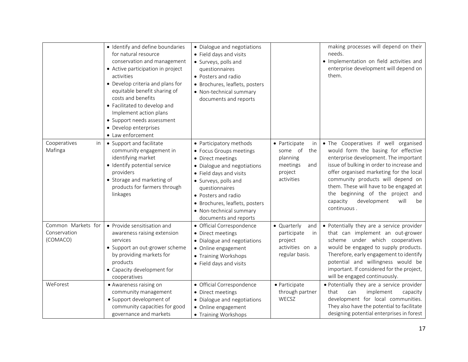|                                                | · Identify and define boundaries<br>for natural resource<br>conservation and management<br>• Active participation in project<br>activities<br>• Develop criteria and plans for<br>equitable benefit sharing of<br>costs and benefits<br>• Facilitated to develop and<br>Implement action plans<br>• Support needs assessment<br>• Develop enterprises<br>• Law enforcement | • Dialogue and negotiations<br>• Field days and visits<br>• Surveys, polls and<br>questionnaires<br>• Posters and radio<br>· Brochures, leaflets, posters<br>• Non-technical summary<br>documents and reports                                                                            |                                                                                               | making processes will depend on their<br>needs.<br>· Implementation on field activities and<br>enterprise development will depend on<br>them.                                                                                                                                                                                                                                           |
|------------------------------------------------|----------------------------------------------------------------------------------------------------------------------------------------------------------------------------------------------------------------------------------------------------------------------------------------------------------------------------------------------------------------------------|------------------------------------------------------------------------------------------------------------------------------------------------------------------------------------------------------------------------------------------------------------------------------------------|-----------------------------------------------------------------------------------------------|-----------------------------------------------------------------------------------------------------------------------------------------------------------------------------------------------------------------------------------------------------------------------------------------------------------------------------------------------------------------------------------------|
| Cooperatives<br>in<br>Mafinga                  | • Support and facilitate<br>community engagement in<br>identifying market<br>· Identify potential service<br>providers<br>• Storage and marketing of<br>products for farmers through<br>linkages                                                                                                                                                                           | • Participatory methods<br>• Focus Groups meetings<br>• Direct meetings<br>• Dialogue and negotiations<br>• Field days and visits<br>• Surveys, polls and<br>questionnaires<br>• Posters and radio<br>• Brochures, leaflets, posters<br>• Non-technical summary<br>documents and reports | • Participate<br>in<br>some of<br>the<br>planning<br>meetings<br>and<br>project<br>activities | . The Cooperatives if well organised<br>would form the basing for effective<br>enterprise development. The important<br>issue of bulking in order to increase and<br>offer organised marketing for the local<br>community products will depend on<br>them. These will have to be engaged at<br>the beginning of the project and<br>capacity<br>development<br>will<br>be<br>continuous. |
| Common Markets for<br>Conservation<br>(COMACO) | • Provide sensitisation and<br>awareness raising extension<br>services<br>• Support an out-grower scheme<br>by providing markets for<br>products<br>• Capacity development for<br>cooperatives                                                                                                                                                                             | · Official Correspondence<br>• Direct meetings<br>• Dialogue and negotiations<br>• Online engagement<br>• Training Workshops<br>• Field days and visits                                                                                                                                  | • Quarterly<br>and<br>participate<br>in<br>project<br>activities on a<br>regular basis.       | • Potentially they are a service provider<br>that can implement an out-grower<br>scheme under which cooperatives<br>would be engaged to supply products.<br>Therefore, early engagement to identify<br>potential and willingness would be<br>important. If considered for the project,<br>will be engaged continuously.                                                                 |
| WeForest                                       | • Awareness raising on<br>community management<br>• Support development of<br>community capacities for good<br>governance and markets                                                                                                                                                                                                                                      | · Official Correspondence<br>• Direct meetings<br>• Dialogue and negotiations<br>• Online engagement<br>• Training Workshops                                                                                                                                                             | · Participate<br>through partner<br>WECSZ                                                     | · Potentially they are a service provider<br>can<br>implement<br>that<br>capacity<br>development for local communities.<br>They also have the potential to facilitate<br>designing potential enterprises in forest                                                                                                                                                                      |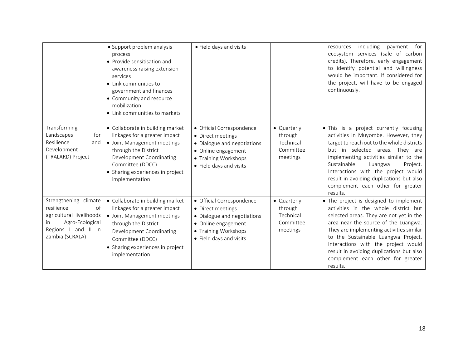|                                                                                                                                           | • Support problem analysis<br>process<br>• Provide sensitisation and<br>awareness raising extension<br>services<br>• Link communities to<br>government and finances<br>• Community and resource<br>mobilization<br>• Link communities to markets | • Field days and visits                                                                                                                                 |                                                              | including payment for<br>resources<br>ecosystem services (sale of carbon<br>credits). Therefore, early engagement<br>to identify potential and willingness<br>would be important. If considered for<br>the project, will have to be engaged<br>continuously.                                                                                                                             |
|-------------------------------------------------------------------------------------------------------------------------------------------|--------------------------------------------------------------------------------------------------------------------------------------------------------------------------------------------------------------------------------------------------|---------------------------------------------------------------------------------------------------------------------------------------------------------|--------------------------------------------------------------|------------------------------------------------------------------------------------------------------------------------------------------------------------------------------------------------------------------------------------------------------------------------------------------------------------------------------------------------------------------------------------------|
| Transforming<br>Landscapes<br>for<br>Resilience<br>and<br>Development<br>(TRALARD) Project                                                | • Collaborate in building market<br>linkages for a greater impact<br>• Joint Management meetings<br>through the District<br>Development Coordinating<br>Committee (DDCC)<br>• Sharing experiences in project<br>implementation                   | • Official Correspondence<br>• Direct meetings<br>• Dialogue and negotiations<br>• Online engagement<br>• Training Workshops<br>• Field days and visits | • Quarterly<br>through<br>Technical<br>Committee<br>meetings | . This is a project currently focusing<br>activities in Muyombe. However, they<br>target to reach out to the whole districts<br>but in selected areas. They are<br>implementing activities similar to the<br>Sustainable<br>Luangwa<br>Project.<br>Interactions with the project would<br>result in avoiding duplications but also<br>complement each other for greater<br>results.      |
| Strengthening climate<br>resilience<br>of<br>agricultural livelihoods<br>Agro-Ecological<br>in.<br>Regions I and II in<br>Zambia (SCRALA) | • Collaborate in building market<br>linkages for a greater impact<br>• Joint Management meetings<br>through the District<br>Development Coordinating<br>Committee (DDCC)<br>• Sharing experiences in project<br>implementation                   | · Official Correspondence<br>• Direct meetings<br>• Dialogue and negotiations<br>• Online engagement<br>• Training Workshops<br>• Field days and visits | • Quarterly<br>through<br>Technical<br>Committee<br>meetings | • The project is designed to implement<br>activities in the whole district but<br>selected areas. They are not yet in the<br>area near the source of the Luangwa.<br>They are implementing activities similar<br>to the Sustainable Luangwa Project.<br>Interactions with the project would<br>result in avoiding duplications but also<br>complement each other for greater<br>results. |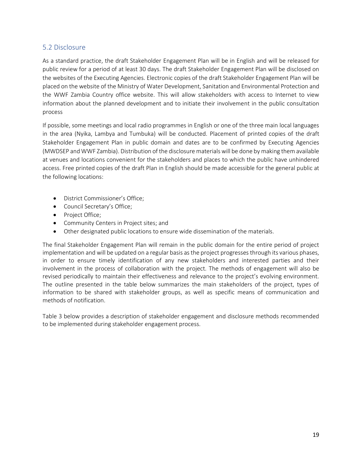## <span id="page-18-0"></span>5.2 Disclosure

As a standard practice, the draft Stakeholder Engagement Plan will be in English and will be released for public review for a period of at least 30 days. The draft Stakeholder Engagement Plan will be disclosed on the websites of the Executing Agencies. Electronic copies of the draft Stakeholder Engagement Plan will be placed on the website of the Ministry of Water Development, Sanitation and Environmental Protection and the WWF Zambia Country office website. This will allow stakeholders with access to Internet to view information about the planned development and to initiate their involvement in the public consultation process

If possible, some meetings and local radio programmes in English or one of the three main local languages in the area (Nyika, Lambya and Tumbuka) will be conducted. Placement of printed copies of the draft Stakeholder Engagement Plan in public domain and dates are to be confirmed by Executing Agencies (MWDSEP and WWF Zambia). Distribution of the disclosure materials will be done by making them available at venues and locations convenient for the stakeholders and places to which the public have unhindered access. Free printed copies of the draft Plan in English should be made accessible for the general public at the following locations:

- District Commissioner's Office;
- Council Secretary's Office;
- Project Office;
- Community Centers in Project sites; and
- Other designated public locations to ensure wide dissemination of the materials.

The final Stakeholder Engagement Plan will remain in the public domain for the entire period of project implementation and will be updated on a regular basis as the project progresses through its various phases, in order to ensure timely identification of any new stakeholders and interested parties and their involvement in the process of collaboration with the project. The methods of engagement will also be revised periodically to maintain their effectiveness and relevance to the project's evolving environment. The outline presented in the table below summarizes the main stakeholders of the project, types of information to be shared with stakeholder groups, as well as specific means of communication and methods of notification.

Table 3 below provides a description of stakeholder engagement and disclosure methods recommended to be implemented during stakeholder engagement process.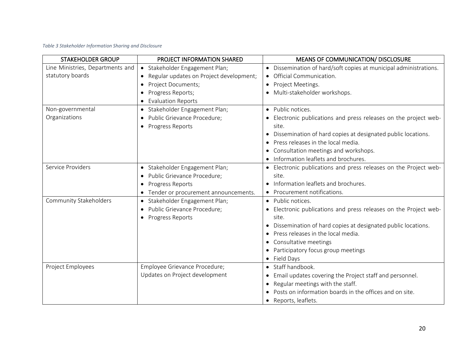#### *Table 3 Stakeholder Information Sharing and Disclosure*

| <b>STAKEHOLDER GROUP</b>         | PROJECT INFORMATION SHARED              | <b>MEANS OF COMMUNICATION/ DISCLOSURE</b>                                    |
|----------------------------------|-----------------------------------------|------------------------------------------------------------------------------|
| Line Ministries, Departments and | • Stakeholder Engagement Plan;          | Dissemination of hard/soft copies at municipal administrations.<br>$\bullet$ |
| statutory boards                 | Regular updates on Project development; | Official Communication.<br>$\bullet$                                         |
|                                  | Project Documents;<br>$\bullet$         | Project Meetings.                                                            |
|                                  | Progress Reports;<br>٠                  | · Multi-stakeholder workshops.                                               |
|                                  | <b>Evaluation Reports</b>               |                                                                              |
| Non-governmental                 | · Stakeholder Engagement Plan;          | • Public notices.                                                            |
| Organizations                    | Public Grievance Procedure;             | Electronic publications and press releases on the project web-               |
|                                  | • Progress Reports                      | site.                                                                        |
|                                  |                                         | Dissemination of hard copies at designated public locations.<br>$\bullet$    |
|                                  |                                         | Press releases in the local media.                                           |
|                                  |                                         | Consultation meetings and workshops.<br>$\bullet$                            |
|                                  |                                         | Information leaflets and brochures.                                          |
| Service Providers                | · Stakeholder Engagement Plan;          | • Electronic publications and press releases on the Project web-             |
|                                  | · Public Grievance Procedure;           | site.                                                                        |
|                                  | Progress Reports<br>٠                   | • Information leaflets and brochures.                                        |
|                                  | Tender or procurement announcements.    | Procurement notifications.                                                   |
| Community Stakeholders           | · Stakeholder Engagement Plan;          | • Public notices.                                                            |
|                                  | · Public Grievance Procedure;           | • Electronic publications and press releases on the Project web-             |
|                                  | Progress Reports                        | site.                                                                        |
|                                  |                                         | Dissemination of hard copies at designated public locations.                 |
|                                  |                                         | Press releases in the local media.<br>$\bullet$                              |
|                                  |                                         | Consultative meetings<br>$\bullet$                                           |
|                                  |                                         | Participatory focus group meetings<br>$\bullet$                              |
|                                  |                                         | • Field Days                                                                 |
| Project Employees                | Employee Grievance Procedure;           | • Staff handbook.                                                            |
|                                  | Updates on Project development          | Email updates covering the Project staff and personnel.<br>$\bullet$         |
|                                  |                                         | Regular meetings with the staff.<br>$\bullet$                                |
|                                  |                                         | Posts on information boards in the offices and on site.                      |
|                                  |                                         | • Reports, leaflets.                                                         |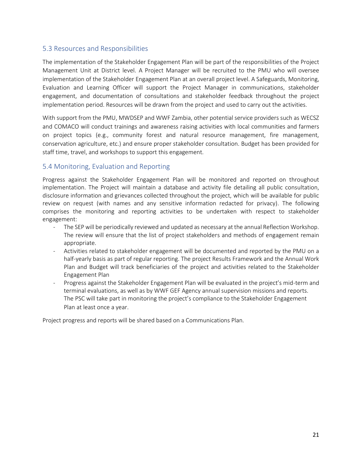## <span id="page-20-0"></span>5.3 Resources and Responsibilities

The implementation of the Stakeholder Engagement Plan will be part of the responsibilities of the Project Management Unit at District level. A Project Manager will be recruited to the PMU who will oversee implementation of the Stakeholder Engagement Plan at an overall project level. A Safeguards, Monitoring, Evaluation and Learning Officer will support the Project Manager in communications, stakeholder engagement, and documentation of consultations and stakeholder feedback throughout the project implementation period. Resources will be drawn from the project and used to carry out the activities.

With support from the PMU, MWDSEP and WWF Zambia, other potential service providers such as WECSZ and COMACO will conduct trainings and awareness raising activities with local communities and farmers on project topics (e.g., community forest and natural resource management, fire management, conservation agriculture, etc.) and ensure proper stakeholder consultation. Budget has been provided for staff time, travel, and workshops to support this engagement.

## <span id="page-20-1"></span>5.4 Monitoring, Evaluation and Reporting

Progress against the Stakeholder Engagement Plan will be monitored and reported on throughout implementation. The Project will maintain a database and activity file detailing all public consultation, disclosure information and grievances collected throughout the project, which will be available for public review on request (with names and any sensitive information redacted for privacy). The following comprises the monitoring and reporting activities to be undertaken with respect to stakeholder engagement:

- The SEP will be periodically reviewed and updated as necessary at the annual Reflection Workshop. The review will ensure that the list of project stakeholders and methods of engagement remain appropriate.
- Activities related to stakeholder engagement will be documented and reported by the PMU on a half-yearly basis as part of regular reporting. The project Results Framework and the Annual Work Plan and Budget will track beneficiaries of the project and activities related to the Stakeholder Engagement Plan
- Progress against the Stakeholder Engagement Plan will be evaluated in the project's mid-term and terminal evaluations, as well as by WWF GEF Agency annual supervision missions and reports. The PSC will take part in monitoring the project's compliance to the Stakeholder Engagement Plan at least once a year.

Project progress and reports will be shared based on a Communications Plan.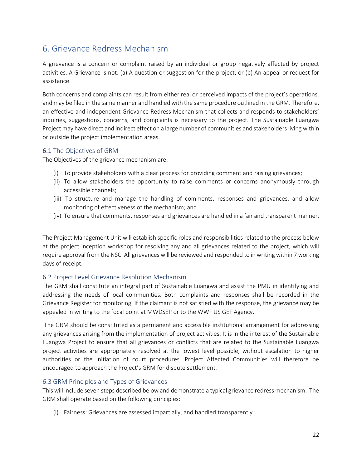# <span id="page-21-0"></span>6. Grievance Redress Mechanism

A grievance is a concern or complaint raised by an individual or group negatively affected by project activities. A Grievance is not: (a) A question or suggestion for the project; or (b) An appeal or request for assistance.

Both concerns and complaints can result from either real or perceived impacts of the project's operations, and may be filed in the same manner and handled with the same procedure outlined in the GRM. Therefore, an effective and independent Grievance Redress Mechanism that collects and responds to stakeholders' inquiries, suggestions, concerns, and complaints is necessary to the project. The Sustainable Luangwa Project may have direct and indirect effect on a large number of communities and stakeholders living within or outside the project implementation areas.

## <span id="page-21-1"></span>6.1 The Objectives of GRM

The Objectives of the grievance mechanism are:

- (i) To provide stakeholders with a clear process for providing comment and raising grievances;
- (ii) To allow stakeholders the opportunity to raise comments or concerns anonymously through accessible channels;
- (iii) To structure and manage the handling of comments, responses and grievances, and allow monitoring of effectiveness of the mechanism; and
- (iv) To ensure that comments, responses and grievances are handled in a fair and transparent manner.

The Project Management Unit will establish specific roles and responsibilities related to the process below at the project inception workshop for resolving any and all grievances related to the project, which will require approval from the NSC. All grievances will be reviewed and responded to in writing within 7 working days of receipt.

### <span id="page-21-2"></span>6.2 Project Level Grievance Resolution Mechanism

The GRM shall constitute an integral part of Sustainable Luangwa and assist the PMU in identifying and addressing the needs of local communities. Both complaints and responses shall be recorded in the Grievance Register for monitoring. If the claimant is not satisfied with the response, the grievance may be appealed in writing to the focal point at MWDSEP or to the WWF US GEF Agency.

The GRM should be constituted as a permanent and accessible institutional arrangement for addressing any grievances arising from the implementation of project activities. It is in the interest of the Sustainable Luangwa Project to ensure that all grievances or conflicts that are related to the Sustainable Luangwa project activities are appropriately resolved at the lowest level possible, without escalation to higher authorities or the initiation of court procedures. Project Affected Communities will therefore be encouraged to approach the Project's GRM for dispute settlement.

### <span id="page-21-3"></span>6.3 GRM Principles and Types of Grievances

This will include seven steps described below and demonstrate a typical grievance redress mechanism. The GRM shall operate based on the following principles:

(i) Fairness: Grievances are assessed impartially, and handled transparently.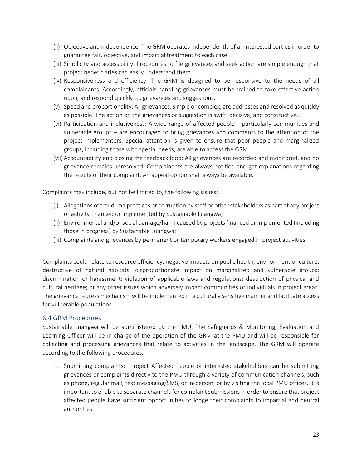- (ii) Objective and independence: The GRM operates independently of all interested parties in order to guarantee fair, objective, and impartial treatment to each case.
- (iii) Simplicity and accessibility: Procedures to file grievances and seek action are simple enough that project beneficiaries can easily understand them.
- (iv) Responsiveness and efficiency: The GRM is designed to be responsive to the needs of all complainants. Accordingly, officials handling grievances must be trained to take effective action upon, and respond quickly to, grievances and suggestions.
- (v) Speed and proportionality: All grievances, simple or complex, are addresses and resolved as quickly as possible. The action on the grievances or suggestion is swift, decisive, and constructive.
- (vi) Participation and inclusiveness: A wide range of affected people particularly communities and vulnerable groups – are encouraged to bring grievances and comments to the attention of the project implementers. Special attention is given to ensure that poor people and marginalized groups, including those with special needs, are able to access the GRM.
- (vii) Accountability and closing the feedback loop: All grievances are recorded and monitored, and no grievance remains unresolved. Complainants are always notified and get explanations regarding the results of their complaint. An appeal option shall always be available.

Complaints may include, but not be limited to, the following issues:

- (i) Allegations of fraud, malpractices or corruption by staff or other stakeholders as part of any project or activity financed or implemented by Sustainable Luangwa;
- (ii) Environmental and/or social damage/harm caused by projects financed or implemented (including those in progress) by Sustainable Luangwa;
- (iii) Complaints and grievances by permanent or temporary workers engaged in project activities.

Complaints could relate to resource efficiency; negative impacts on public health, environment or culture; destructive of natural habitats; disproportionate impact on marginalized and vulnerable groups; discrimination or harassment; violation of applicable laws and regulations; destruction of physical and cultural heritage; or any other issues which adversely impact communities or individuals in project areas. The grievance redress mechanism will be implemented in a culturally sensitive manner and facilitate access for vulnerable populations.

### <span id="page-22-0"></span>6.4 GRM Procedures

Sustainable Luangwa will be administered by the PMU. The Safeguards & Monitoring, Evaluation and Learning Officer will be in charge of the operation of the GRM at the PMU and will be responsible for collecting and processing grievances that relate to activities in the landscape. The GRM will operate according to the following procedures.

1. Submitting complaints: Project Affected People or interested stakeholders can be submitting grievances or complaints directly to the PMU through a variety of communication channels, such as phone, regular mail, text messaging/SMS, or in-person, or by visiting the local PMU offices. It is important to enable to separate channels for complaint submissions in order to ensure that project affected people have sufficient opportunities to lodge their complaints to impartial and neutral authorities.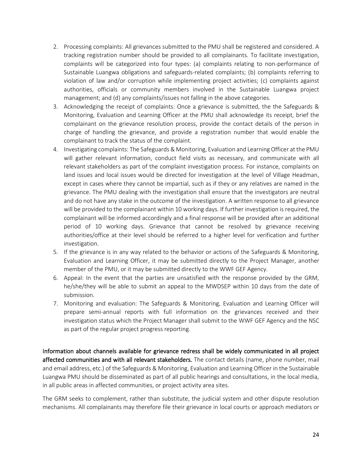- 2. Processing complaints: All grievances submitted to the PMU shall be registered and considered. A tracking registration number should be provided to all complainants. To facilitate investigation, complaints will be categorized into four types: (a) complaints relating to non-performance of Sustainable Luangwa obligations and safeguards-related complaints; (b) complaints referring to violation of law and/or corruption while implementing project activities; (c) complaints against authorities, officials or community members involved in the Sustainable Luangwa project management; and (d) any complaints/issues not falling in the above categories.
- 3. Acknowledging the receipt of complaints: Once a grievance is submitted, the the Safeguards & Monitoring, Evaluation and Learning Officer at the PMU shall acknowledge its receipt, brief the complainant on the grievance resolution process, provide the contact details of the person in charge of handling the grievance, and provide a registration number that would enable the complainant to track the status of the complaint.
- 4. Investigating complaints: The Safeguards & Monitoring, Evaluation and Learning Officer at the PMU will gather relevant information, conduct field visits as necessary, and communicate with all relevant stakeholders as part of the complaint investigation process. For instance, complaints on land issues and local issues would be directed for investigation at the level of Village Headman, except in cases where they cannot be impartial, such as if they or any relatives are named in the grievance. The PMU dealing with the investigation shall ensure that the investigators are neutral and do not have any stake in the outcome of the investigation. A written response to all grievance will be provided to the complainant within 10 working days. If further investigation is required, the complainant will be informed accordingly and a final response will be provided after an additional period of 10 working days. Grievance that cannot be resolved by grievance receiving authorities/office at their level should be referred to a higher level for verification and further investigation.
- 5. If the grievance is in any way related to the behavior or actions of the Safeguards & Monitoring, Evaluation and Learning Officer, it may be submitted directly to the Project Manager, another member of the PMU, or it may be submitted directly to the WWF GEF Agency.
- 6. Appeal: In the event that the parties are unsatisfied with the response provided by the GRM, he/she/they will be able to submit an appeal to the MWDSEP within 10 days from the date of submission.
- 7. Monitoring and evaluation: The Safeguards & Monitoring, Evaluation and Learning Officer will prepare semi-annual reports with full information on the grievances received and their investigation status which the Project Manager shall submit to the WWF GEF Agency and the NSC as part of the regular project progress reporting.

Information about channels available for grievance redress shall be widely communicated in all project affected communities and with all relevant stakeholders. The contact details (name, phone number, mail and email address, etc.) of the Safeguards & Monitoring, Evaluation and Learning Officer in the Sustainable Luangwa PMU should be disseminated as part of all public hearings and consultations, in the local media, in all public areas in affected communities, or project activity area sites.

The GRM seeks to complement, rather than substitute, the judicial system and other dispute resolution mechanisms. All complainants may therefore file their grievance in local courts or approach mediators or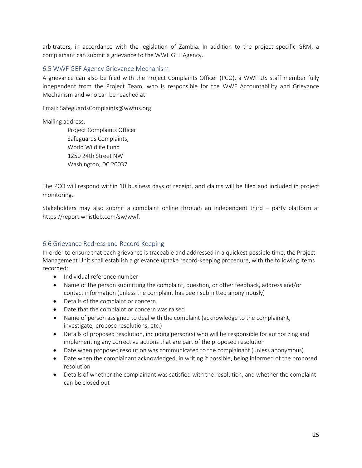arbitrators, in accordance with the legislation of Zambia. In addition to the project specific GRM, a complainant can submit a grievance to the WWF GEF Agency.

#### <span id="page-24-0"></span>6.5 WWF GEF Agency Grievance Mechanism

A grievance can also be filed with the Project Complaints Officer (PCO), a WWF US staff member fully independent from the Project Team, who is responsible for the WWF Accountability and Grievance Mechanism and who can be reached at:

Email: SafeguardsComplaints@wwfus.org

Mailing address:

 Project Complaints Officer Safeguards Complaints, World Wildlife Fund 1250 24th Street NW Washington, DC 20037

The PCO will respond within 10 business days of receipt, and claims will be filed and included in project monitoring.

Stakeholders may also submit a complaint online through an independent third – party platform at [https://report.whistleb.com/sw/wwf.](https://report.whistleb.com/sw/wwf)

#### <span id="page-24-1"></span>6.6 Grievance Redress and Record Keeping

In order to ensure that each grievance is traceable and addressed in a quickest possible time, the Project Management Unit shall establish a grievance uptake record-keeping procedure, with the following items recorded:

- Individual reference number
- Name of the person submitting the complaint, question, or other feedback, address and/or contact information (unless the complaint has been submitted anonymously)
- Details of the complaint or concern
- Date that the complaint or concern was raised
- Name of person assigned to deal with the complaint (acknowledge to the complainant, investigate, propose resolutions, etc.)
- Details of proposed resolution, including person(s) who will be responsible for authorizing and implementing any corrective actions that are part of the proposed resolution
- Date when proposed resolution was communicated to the complainant (unless anonymous)
- Date when the complainant acknowledged, in writing if possible, being informed of the proposed resolution
- Details of whether the complainant was satisfied with the resolution, and whether the complaint can be closed out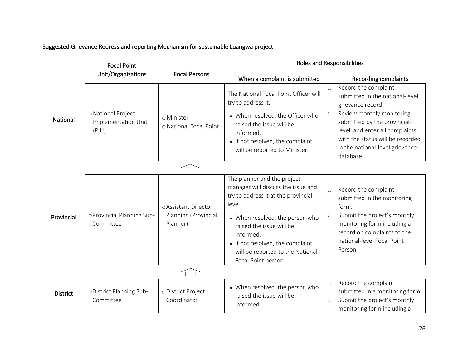## Suggested Grievance Redress and reporting Mechanism for sustainable Luangwa project

| <b>Focal Point</b> |                                                    |                                      | <b>Roles and Responsibilities</b>                                                                                                                                       |                                                                                                                                           |  |
|--------------------|----------------------------------------------------|--------------------------------------|-------------------------------------------------------------------------------------------------------------------------------------------------------------------------|-------------------------------------------------------------------------------------------------------------------------------------------|--|
|                    | Unit/Organizations                                 | <b>Focal Persons</b>                 | When a complaint is submitted                                                                                                                                           | Recording complaints                                                                                                                      |  |
|                    |                                                    |                                      | The National Focal Point Officer will<br>try to address it.                                                                                                             | Record the complaint<br>1.<br>submitted in the national-level<br>grievance record.                                                        |  |
| National           | o National Project<br>Implementation Unit<br>(PIU) | o Minister<br>o National Focal Point | • When resolved, the Officer who<br>raised the issue will be<br>informed.                                                                                               | Review monthly monitoring<br>2.<br>submitted by the provincial-<br>level, and enter all complaints<br>with the status will be recorded    |  |
|                    |                                                    |                                      | • If not resolved, the complaint<br>will be reported to Minister.                                                                                                       | in the national-level grievance<br>database.                                                                                              |  |
|                    |                                                    |                                      |                                                                                                                                                                         |                                                                                                                                           |  |
|                    |                                                    | o Assistant Director                 | The planner and the project<br>manager will discuss the issue and<br>try to address it at the provincial<br>level.                                                      | Record the complaint<br>1.<br>submitted in the monitoring<br>form.                                                                        |  |
| Provincial         | oProvincial Planning Sub-<br>Committee             | Planning (Provincial<br>Planner)     | • When resolved, the person who<br>raised the issue will be<br>informed.<br>• If not resolved, the complaint<br>will be reported to the National<br>Focal Point person. | Submit the project's monthly<br>2.<br>monitoring form including a<br>record on complaints to the<br>national-level Focal Point<br>Person. |  |
|                    |                                                    |                                      |                                                                                                                                                                         |                                                                                                                                           |  |
| <b>District</b>    | oDistrict Planning Sub-<br>Committee               | oDistrict Project<br>Coordinator     | • When resolved, the person who<br>raised the issue will be<br>informed.                                                                                                | Record the complaint<br>1.<br>submitted in a monitoring form.<br>Submit the project's monthly<br>2.<br>monitoring form including a        |  |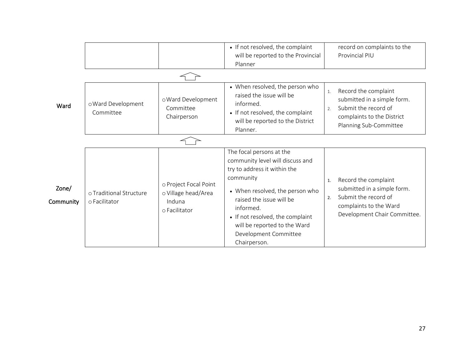|                    |                                          |                                                                         | • If not resolved, the complaint                                                                                                                                                                                                                                                                   | record on complaints to the                                                                                                                       |
|--------------------|------------------------------------------|-------------------------------------------------------------------------|----------------------------------------------------------------------------------------------------------------------------------------------------------------------------------------------------------------------------------------------------------------------------------------------------|---------------------------------------------------------------------------------------------------------------------------------------------------|
|                    |                                          |                                                                         | will be reported to the Provincial                                                                                                                                                                                                                                                                 | Provincial PIU                                                                                                                                    |
|                    |                                          |                                                                         | Planner                                                                                                                                                                                                                                                                                            |                                                                                                                                                   |
|                    |                                          |                                                                         |                                                                                                                                                                                                                                                                                                    |                                                                                                                                                   |
| Ward               | o Ward Development<br>Committee          | o Ward Development<br>Committee<br>Chairperson                          | • When resolved, the person who<br>raised the issue will be<br>informed.<br>• If not resolved, the complaint<br>will be reported to the District<br>Planner.                                                                                                                                       | Record the complaint<br>1.<br>submitted in a simple form.<br>Submit the record of<br>2.<br>complaints to the District<br>Planning Sub-Committee   |
|                    |                                          |                                                                         |                                                                                                                                                                                                                                                                                                    |                                                                                                                                                   |
| Zone/<br>Community | o Traditional Structure<br>o Facilitator | o Project Focal Point<br>o Village head/Area<br>Induna<br>o Facilitator | The focal persons at the<br>community level will discuss and<br>try to address it within the<br>community<br>• When resolved, the person who<br>raised the issue will be<br>informed.<br>• If not resolved, the complaint<br>will be reported to the Ward<br>Development Committee<br>Chairperson. | Record the complaint<br>1.<br>submitted in a simple form.<br>Submit the record of<br>2.<br>complaints to the Ward<br>Development Chair Committee. |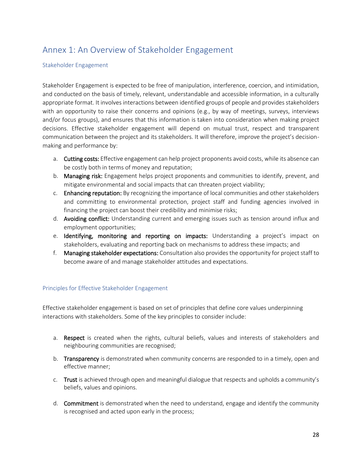# <span id="page-27-0"></span>Annex 1: An Overview of Stakeholder Engagement

#### Stakeholder Engagement

Stakeholder Engagement is expected to be free of manipulation, interference, coercion, and intimidation, and conducted on the basis of timely, relevant, understandable and accessible information, in a culturally appropriate format. It involves interactions between identified groups of people and provides stakeholders with an opportunity to raise their concerns and opinions (e.g., by way of meetings, surveys, interviews and/or focus groups), and ensures that this information is taken into consideration when making project decisions. Effective stakeholder engagement will depend on mutual trust, respect and transparent communication between the project and its stakeholders. It will therefore, improve the project's decisionmaking and performance by:

- a. Cutting costs: Effective engagement can help project proponents avoid costs, while its absence can be costly both in terms of money and reputation;
- b. Managing risk: Engagement helps project proponents and communities to identify, prevent, and mitigate environmental and social impacts that can threaten project viability;
- c. Enhancing reputation: By recognizing the importance of local communities and other stakeholders and committing to environmental protection, project staff and funding agencies involved in financing the project can boost their credibility and minimise risks;
- d. Avoiding conflict: Understanding current and emerging issues such as tension around influx and employment opportunities;
- e. Identifying, monitoring and reporting on impacts: Understanding a project's impact on stakeholders, evaluating and reporting back on mechanisms to address these impacts; and
- f. Managing stakeholder expectations: Consultation also provides the opportunity for project staff to become aware of and manage stakeholder attitudes and expectations.

#### <span id="page-27-1"></span>Principles for Effective Stakeholder Engagement

Effective stakeholder engagement is based on set of principles that define core values underpinning interactions with stakeholders. Some of the key principles to consider include:

- a. Respect is created when the rights, cultural beliefs, values and interests of stakeholders and neighbouring communities are recognised;
- b. Transparency is demonstrated when community concerns are responded to in a timely, open and effective manner;
- c. Trust is achieved through open and meaningful dialogue that respects and upholds a community's beliefs, values and opinions.
- d. Commitment is demonstrated when the need to understand, engage and identify the community is recognised and acted upon early in the process;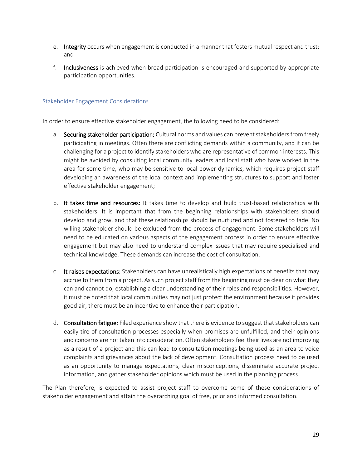- e. Integrity occurs when engagement is conducted in a manner that fosters mutual respect and trust; and
- f. Inclusiveness is achieved when broad participation is encouraged and supported by appropriate participation opportunities.

#### <span id="page-28-0"></span>Stakeholder Engagement Considerations

In order to ensure effective stakeholder engagement, the following need to be considered:

- a. Securing stakeholder participation: Cultural norms and values can prevent stakeholders from freely participating in meetings. Often there are conflicting demands within a community, and it can be challenging for a project to identify stakeholders who are representative of common interests. This might be avoided by consulting local community leaders and local staff who have worked in the area for some time, who may be sensitive to local power dynamics, which requires project staff developing an awareness of the local context and implementing structures to support and foster effective stakeholder engagement;
- b. It takes time and resources: It takes time to develop and build trust-based relationships with stakeholders. It is important that from the beginning relationships with stakeholders should develop and grow, and that these relationships should be nurtured and not fostered to fade. No willing stakeholder should be excluded from the process of engagement. Some stakeholders will need to be educated on various aspects of the engagement process in order to ensure effective engagement but may also need to understand complex issues that may require specialised and technical knowledge. These demands can increase the cost of consultation.
- c. It raises expectations: Stakeholders can have unrealistically high expectations of benefits that may accrue to them from a project. As such project staff from the beginning must be clear on what they can and cannot do, establishing a clear understanding of their roles and responsibilities. However, it must be noted that local communities may not just protect the environment because it provides good air, there must be an incentive to enhance their participation.
- d. Consultation fatigue: Filed experience show that there is evidence to suggest that stakeholders can easily tire of consultation processes especially when promises are unfulfilled, and their opinions and concerns are not taken into consideration. Often stakeholders feel their lives are not improving as a result of a project and this can lead to consultation meetings being used as an area to voice complaints and grievances about the lack of development. Consultation process need to be used as an opportunity to manage expectations, clear misconceptions, disseminate accurate project information, and gather stakeholder opinions which must be used in the planning process.

The Plan therefore, is expected to assist project staff to overcome some of these considerations of stakeholder engagement and attain the overarching goal of free, prior and informed consultation.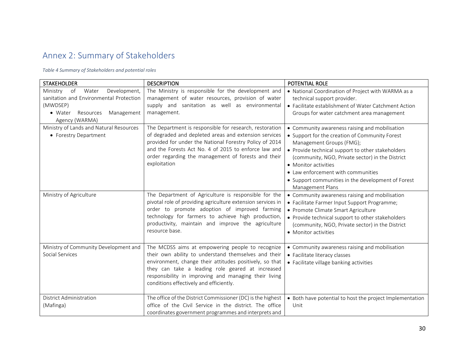# Annex 2: Summary of Stakeholders

*Table 4 Summary of Stakeholders and potential roles*

<span id="page-29-0"></span>

| <b>STAKEHOLDER</b>                                                                                                                                     | <b>DESCRIPTION</b>                                                                                                                                                                                                                                                                                                          | POTENTIAL ROLE                                                                                                                                                                                                                                                                                                                                                                |
|--------------------------------------------------------------------------------------------------------------------------------------------------------|-----------------------------------------------------------------------------------------------------------------------------------------------------------------------------------------------------------------------------------------------------------------------------------------------------------------------------|-------------------------------------------------------------------------------------------------------------------------------------------------------------------------------------------------------------------------------------------------------------------------------------------------------------------------------------------------------------------------------|
| Development,<br>Water<br>Ministry<br>of<br>sanitation and Environmental Protection<br>(MWDSEP)<br>• Water<br>Resources<br>Management<br>Agency (WARMA) | The Ministry is responsible for the development and<br>management of water resources, provision of water<br>supply and sanitation as well as environmental<br>management.                                                                                                                                                   | • National Coordination of Project with WARMA as a<br>technical support provider.<br>• Facilitate establishment of Water Catchment Action<br>Groups for water catchment area management                                                                                                                                                                                       |
| Ministry of Lands and Natural Resources<br>• Forestry Department                                                                                       | The Department is responsible for research, restoration<br>of degraded and depleted areas and extension services<br>provided for under the National Forestry Policy of 2014<br>and the Forests Act No. 4 of 2015 to enforce law and<br>order regarding the management of forests and their<br>exploitation                  | • Community awareness raising and mobilisation<br>• Support for the creation of Community Forest<br>Management Groups (FMG);<br>• Provide technical support to other stakeholders<br>(community, NGO, Private sector) in the District<br>• Monitor activities<br>• Law enforcement with communities<br>• Support communities in the development of Forest<br>Management Plans |
| Ministry of Agriculture                                                                                                                                | The Department of Agriculture is responsible for the<br>pivotal role of providing agriculture extension services in<br>order to promote adoption of improved farming<br>technology for farmers to achieve high production,<br>productivity, maintain and improve the agriculture<br>resource base.                          | • Community awareness raising and mobilisation<br>• Facilitate Farmer Input Support Programme;<br>• Promote Climate Smart Agriculture<br>• Provide technical support to other stakeholders<br>(community, NGO, Private sector) in the District<br>• Monitor activities                                                                                                        |
| Ministry of Community Development and<br>Social Services                                                                                               | The MCDSS aims at empowering people to recognize<br>their own ability to understand themselves and their<br>environment, change their attitudes positively, so that<br>they can take a leading role geared at increased<br>responsibility in improving and managing their living<br>conditions effectively and efficiently. | • Community awareness raising and mobilisation<br>• Facilitate literacy classes<br>• Facilitate village banking activities                                                                                                                                                                                                                                                    |
| District Administration<br>(Mafinga)                                                                                                                   | The office of the District Commissioner (DC) is the highest<br>office of the Civil Service in the district. The office<br>coordinates government programmes and interprets and                                                                                                                                              | • Both have potential to host the project Implementation<br>Unit                                                                                                                                                                                                                                                                                                              |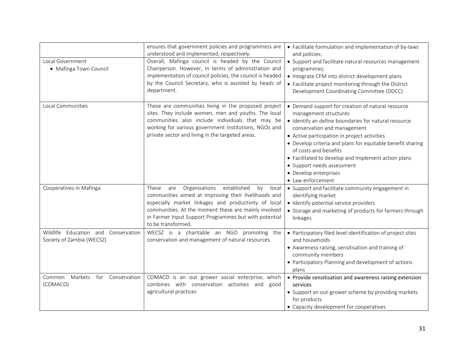| Local Government<br>• Mafinga Town Council                       | ensures that government policies and programmess are<br>understood and implemented, respectively.<br>Overall, Mafinga council is headed by the Council<br>Chairperson. However, In terms of administration and<br>implementation of council policies, the council is headed<br>by the Council Secretary, who is assisted by heads of<br>department. | • Facilitate formulation and implementation of by-laws<br>and policies;<br>• Support and facilitate natural resources management<br>programmes;<br>• Integrate CFM into district development plans<br>• Facilitate project monitoring through the District<br>Development Coordinating Committee (DDCC)                                                                                                                                     |
|------------------------------------------------------------------|-----------------------------------------------------------------------------------------------------------------------------------------------------------------------------------------------------------------------------------------------------------------------------------------------------------------------------------------------------|---------------------------------------------------------------------------------------------------------------------------------------------------------------------------------------------------------------------------------------------------------------------------------------------------------------------------------------------------------------------------------------------------------------------------------------------|
| Local Communities                                                | These are communities living in the proposed project<br>sites. They include women, men and youths. The local<br>communities also include individuals that may be<br>working for various government institutions, NGOs and<br>private sector and living in the targeted areas.                                                                       | • Demand support for creation of natural resource<br>management structures<br>· Identify an define boundaries for natural resource<br>conservation and management<br>• Active participation in project activities<br>• Develop criteria and plans for equitable benefit sharing<br>of costs and benefits<br>• Facilitated to develop and Implement action plans<br>• Support needs assessment<br>• Develop enterprises<br>• Law enforcement |
| Cooperatives in Mafinga                                          | established<br>Organisations<br>by<br>local<br>These<br>are<br>communities aimed at improving their livelihoods and<br>especially market linkages and productivity of local<br>communities. At the moment these are mainly involved<br>in Farmer Input Support Programmes but with potential<br>to be transformed.                                  | • Support and facilitate community engagement in<br>identifying market<br>· Identify potential service providers<br>• Storage and marketing of products for farmers through<br>linkages                                                                                                                                                                                                                                                     |
| Wildlife Education and Conservation<br>Society of Zambia (WECSZ) | WECSZ is a charitable an NGO promoting the<br>conservation and management of natural resources.                                                                                                                                                                                                                                                     | • Participatory filed level identification of project sites<br>and households<br>• Awareness raising, sensitisation and training of<br>community members<br>• Participatory Planning and development of actions<br>plans                                                                                                                                                                                                                    |
| Markets for Conservation<br>Common<br>(COMACO)                   | COMACO is an out grower social enterprise, which<br>combines with conservation activities and<br>good<br>agricultural practices                                                                                                                                                                                                                     | • Provide sensitisation and awareness raising extension<br>services<br>• Support an out-grower scheme by providing markets<br>for products<br>• Capacity development for cooperatives                                                                                                                                                                                                                                                       |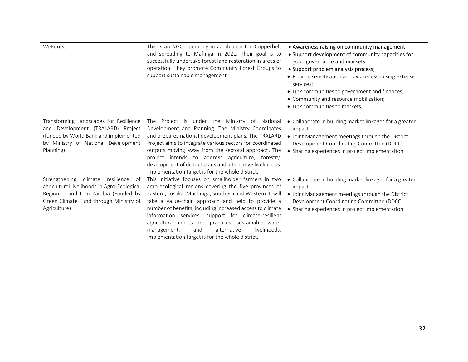| WeForest                                                                                                                                                                                   | This is an NGO operating in Zambia on the Copperbelt<br>and spreading to Mafinga in 2021. Their goal is to<br>successfully undertake forest land restoration in areas of<br>operation. They promote Community Forest Groups to<br>support sustainable management                                                                                                                                                                                                                                                      | • Awareness raising on community management<br>• Support development of community capacities for<br>good governance and markets<br>· Support problem analysis process;<br>• Provide sensitisation and awareness raising extension<br>services;<br>• Link communities to government and finances;<br>• Community and resource mobilization;<br>• Link communities to markets; |
|--------------------------------------------------------------------------------------------------------------------------------------------------------------------------------------------|-----------------------------------------------------------------------------------------------------------------------------------------------------------------------------------------------------------------------------------------------------------------------------------------------------------------------------------------------------------------------------------------------------------------------------------------------------------------------------------------------------------------------|------------------------------------------------------------------------------------------------------------------------------------------------------------------------------------------------------------------------------------------------------------------------------------------------------------------------------------------------------------------------------|
| Transforming Landscapes for Resilience<br>and Development (TRALARD) Project<br>(funded by World Bank and implemented<br>by Ministry of National Development<br>Planning)                   | The Project is under the Ministry of National<br>Development and Planning. The Ministry Coordinates<br>and prepares national development plans. The TRALARD<br>Project aims to integrate various sectors for coordinated<br>outputs moving away from the sectoral approach. The<br>project intends to address agriculture, forestry,<br>development of district plans and alternative livelihoods.<br>Implementation target is for the whole district.                                                                | • Collaborate in building market linkages for a greater<br>impact<br>• Joint Management meetings through the District<br>Development Coordinating Committee (DDCC)<br>• Sharing experiences in project implementation                                                                                                                                                        |
| Strengthening climate resilience<br>- of<br>agricultural livelihoods in Agro-Ecological<br>Regions I and II in Zambia (Funded by<br>Green Climate Fund through Ministry of<br>Agriculture) | This initiative focuses on smallholder farmers in two<br>agro-ecological regions covering the five provinces of<br>Eastern, Lusaka, Muchinga, Southern and Western. It will<br>take a value-chain approach and help to provide a<br>number of benefits, including increased access to climate<br>information services, support for climate-resilient<br>agricultural inputs and practices, sustainable water<br>livelihoods.<br>alternative<br>management,<br>and<br>Implementation target is for the whole district. | • Collaborate in building market linkages for a greater<br>impact<br>• Joint Management meetings through the District<br>Development Coordinating Committee (DDCC)<br>• Sharing experiences in project implementation                                                                                                                                                        |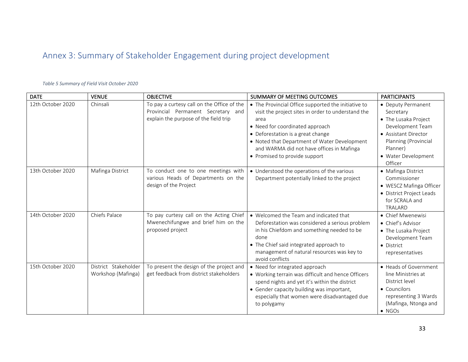# Annex 3: Summary of Stakeholder Engagement during project development

# DATE VENUE OBJECTIVE SUMMARY OF MEETING OUTCOMES PARTICIPANTS Provincial Permanent Secretary and explain the purpose of the field trip area

*Table 5 Summary of Field Visit October 2020*

<span id="page-32-0"></span>

| 12th October 2020 | Chinsali                                   | To pay a curtesy call on the Office of the<br>Provincial Permanent Secretary and<br>explain the purpose of the field trip | • The Provincial Office supported the initiative to<br>visit the project sites in order to understand the<br>area<br>• Need for coordinated approach<br>• Deforestation is a great change<br>• Noted that Department of Water Development<br>and WARMA did not have offices in Mafinga<br>• Promised to provide support | • Deputy Permanent<br>Secretary<br>• The Lusaka Project<br>Development Team<br>• Assistant Director<br>Planning (Provincial<br>Planner)<br>• Water Development<br>Officer |
|-------------------|--------------------------------------------|---------------------------------------------------------------------------------------------------------------------------|-------------------------------------------------------------------------------------------------------------------------------------------------------------------------------------------------------------------------------------------------------------------------------------------------------------------------|---------------------------------------------------------------------------------------------------------------------------------------------------------------------------|
| 13th October 2020 | Mafinga District                           | To conduct one to one meetings with<br>various Heads of Departments on the<br>design of the Project                       | • Understood the operations of the various<br>Department potentially linked to the project                                                                                                                                                                                                                              | • Mafinga District<br>Commissioner<br>• WESCZ Mafinga Officer<br>• District Project Leads<br>for SCRALA and<br>TRALARD                                                    |
| 14th October 2020 | Chiefs Palace                              | To pay curtesy call on the Acting Chief<br>Mwenechifungwe and brief him on the<br>proposed project                        | • Welcomed the Team and indicated that<br>Deforestation was considered a serious problem<br>in his Chiefdom and something needed to be<br>done<br>• The Chief said integrated approach to<br>management of natural resources was key to<br>avoid conflicts                                                              | • Chief Mwenewisi<br>• Chief's Advisor<br>• The Lusaka Project<br>Development Team<br>• District<br>representatives                                                       |
| 15th October 2020 | District Stakeholder<br>Workshop (Mafinga) | To present the design of the project and<br>get feedback from district stakeholders                                       | • Need for integrated approach<br>• Working terrain was difficult and hence Officers<br>spend nights and yet it's within the district<br>• Gender capacity building was important,<br>especially that women were disadvantaged due<br>to polygamy                                                                       | • Heads of Government<br>line Ministries at<br>District level<br>• Councilors<br>representing 3 Wards<br>(Mafinga, Ntonga and<br>$\bullet$ NGOs                           |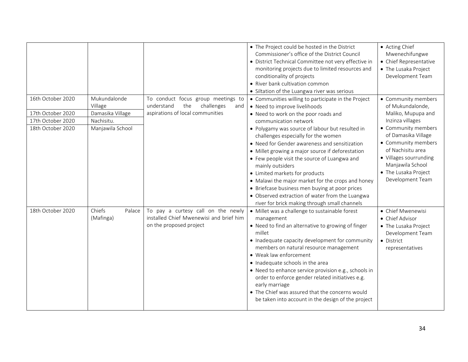|                                        |                                             |                                                                                                                  | • The Project could be hosted in the District<br>Commissioner's office of the District Council<br>• District Technical Committee not very effective in<br>monitoring projects due to limited resources and<br>conditionality of projects<br>• River bank cultivation common<br>• Siltation of the Luangwa river was serious                                                                                                                                                                                                                                                     | • Acting Chief<br>Mwenechifungwe<br>• Chief Representative<br>• The Lusaka Project<br>Development Team                                                                                               |
|----------------------------------------|---------------------------------------------|------------------------------------------------------------------------------------------------------------------|---------------------------------------------------------------------------------------------------------------------------------------------------------------------------------------------------------------------------------------------------------------------------------------------------------------------------------------------------------------------------------------------------------------------------------------------------------------------------------------------------------------------------------------------------------------------------------|------------------------------------------------------------------------------------------------------------------------------------------------------------------------------------------------------|
| 16th October 2020<br>17th October 2020 | Mukundalonde<br>Village<br>Damasika Village | To conduct focus group meetings to<br>the<br>challenges<br>understand<br>and<br>aspirations of local communities | • Communities willing to participate in the Project<br>• Need to improve livelihoods<br>. Need to work on the poor roads and                                                                                                                                                                                                                                                                                                                                                                                                                                                    | • Community members<br>of Mukundalonde,<br>Maliko, Mupupa and                                                                                                                                        |
| 17th October 2020<br>18th October 2020 | Nachisitu.<br>Manjawila School              |                                                                                                                  | communication network<br>• Polygamy was source of labour but resulted in<br>challenges especially for the women<br>• Need for Gender awareness and sensitization<br>• Millet growing a major source if deforestation<br>• Few people visit the source of Luangwa and<br>mainly outsiders<br>• Limited markets for products<br>• Malawi the major market for the crops and honey<br>• Briefcase business men buying at poor prices<br>• Observed extraction of water from the Luangwa                                                                                            | Inzinza villages<br>• Community members<br>of Damasika Village<br>• Community members<br>of Nachisitu area<br>• Villages sourrunding<br>Manjawila School<br>• The Lusaka Project<br>Development Team |
| 18th October 2020                      | Chiefs<br>Palace<br>(Mafinga)               | To pay a curtesy call on the newly<br>installed Chief Mwenewisi and brief him<br>on the proposed project         | river for brick making through small channels<br>• Millet was a challenge to sustainable forest<br>management<br>• Need to find an alternative to growing of finger<br>millet<br>• Inadequate capacity development for community<br>members on natural resource management<br>• Weak law enforcement<br>• Inadequate schools in the area<br>• Need to enhance service provision e.g., schools in<br>order to enforce gender related initiatives e.g.<br>early marriage<br>• The Chief was assured that the concerns would<br>be taken into account in the design of the project | • Chief Mwenewisi<br>• Chief Advisor<br>• The Lusaka Project<br>Development Team<br>• District<br>representatives                                                                                    |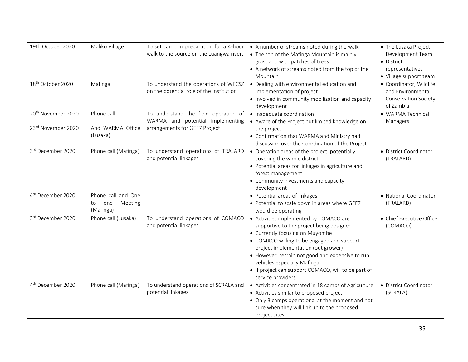| 19th October 2020              | Maliko Village                    | To set camp in preparation for a 4-hour                                           | • A number of streams noted during the walk                                                                                                                                                                                                                                                                                                                               | • The Lusaka Project                                                        |
|--------------------------------|-----------------------------------|-----------------------------------------------------------------------------------|---------------------------------------------------------------------------------------------------------------------------------------------------------------------------------------------------------------------------------------------------------------------------------------------------------------------------------------------------------------------------|-----------------------------------------------------------------------------|
|                                |                                   | walk to the source on the Luangwa river.                                          | • The top of the Mafinga Mountain is mainly                                                                                                                                                                                                                                                                                                                               | Development Team                                                            |
|                                |                                   |                                                                                   | grassland with patches of trees                                                                                                                                                                                                                                                                                                                                           | • District                                                                  |
|                                |                                   |                                                                                   | • A network of streams noted from the top of the                                                                                                                                                                                                                                                                                                                          | representatives                                                             |
|                                |                                   |                                                                                   | Mountain                                                                                                                                                                                                                                                                                                                                                                  | • Village support team                                                      |
| 18 <sup>th</sup> October 2020  | Mafinga                           | To understand the operations of WECSZ<br>on the potential role of the Institution | • Dealing with environmental education and<br>implementation of project<br>• Involved in community mobilization and capacity                                                                                                                                                                                                                                              | · Coordinator, Wildlife<br>and Environmental<br><b>Conservation Society</b> |
|                                |                                   |                                                                                   | development                                                                                                                                                                                                                                                                                                                                                               | of Zambia                                                                   |
| 20 <sup>th</sup> November 2020 | Phone call                        | To understand the field operation of<br>WARMA and potential implementing          | • Inadequate coordination<br>. Aware of the Project but limited knowledge on                                                                                                                                                                                                                                                                                              | · WARMA Technical<br>Managers                                               |
| 23rd November 2020             | And WARMA Office<br>(Lusaka)      | arrangements for GEF7 Project                                                     | the project<br>• Confirmation that WARMA and Ministry had<br>discussion over the Coordination of the Project                                                                                                                                                                                                                                                              |                                                                             |
| 3rd December 2020              | Phone call (Mafinga)              | To understand operations of TRALARD<br>and potential linkages                     | • Operation areas of the project, potentially<br>covering the whole district<br>• Potential areas for linkages in agriculture and<br>forest management<br>• Community investments and capacity<br>development                                                                                                                                                             | • District Coordinator<br>(TRALARD)                                         |
| 4 <sup>th</sup> December 2020  | Phone call and One                |                                                                                   | • Potential areas of linkages                                                                                                                                                                                                                                                                                                                                             | · National Coordinator                                                      |
|                                | Meeting<br>one<br>to<br>(Mafinga) |                                                                                   | • Potential to scale down in areas where GEF7<br>would be operating                                                                                                                                                                                                                                                                                                       | (TRALARD)                                                                   |
| 3rd December 2020              | Phone call (Lusaka)               | To understand operations of COMACO<br>and potential linkages                      | • Activities implemented by COMACO are<br>supportive to the project being designed<br>• Currently focusing on Muyombe<br>• COMACO willing to be engaged and support<br>project implementation (out grower)<br>• However, terrain not good and expensive to run<br>vehicles especially Mafinga<br>• If project can support COMACO, will to be part of<br>service providers | • Chief Executive Officer<br>(COMACO)                                       |
| 4 <sup>th</sup> December 2020  | Phone call (Mafinga)              | To understand operations of SCRALA and<br>potential linkages                      | • Activities concentrated in 18 camps of Agriculture<br>• Activities similar to proposed project<br>• Only 3 camps operational at the moment and not<br>sure when they will link up to the proposed<br>project sites                                                                                                                                                      | • District Coordinator<br>(SCRALA)                                          |